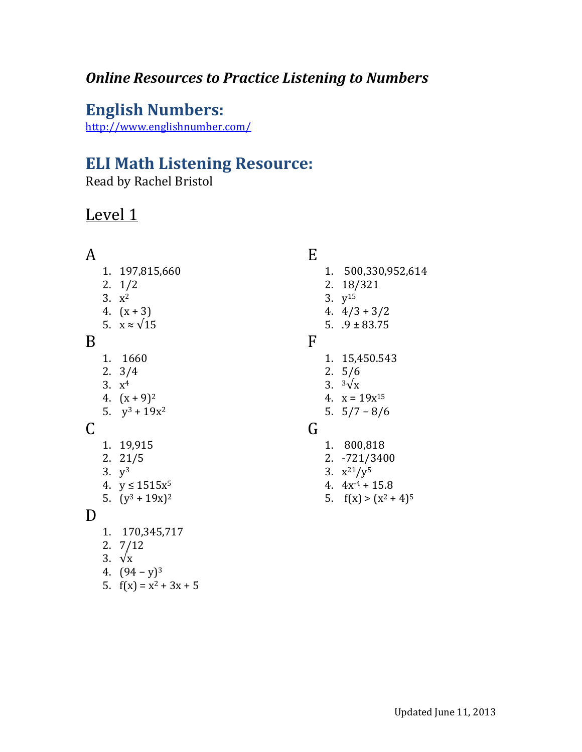## *Online Resources to Practice Listening to Numbers*

# **English Numbers:**

<http://www.englishnumber.com/>

# **ELI Math Listening Resource:**

Read by Rachel Bristol

# Level 1

#### A

- 1. 197,815,660
- 2. 1/2
- 3.  $x^2$
- 4.  $(x + 3)$
- 5.  $x \approx \sqrt{15}$

### B

- 1. 1660
- 2. 3/4
- 3. x 4
- 4.  $(x+9)^2$
- 5.  $y^3 + 19x^2$

#### C

- 1. 19,915
- 2. 21/5
- 3.  $y^3$
- 4.  $y \le 1515x^5$
- 5.  $(y^3 + 19x)^2$

#### D

- 1. 170,345,717
- 2. 7/12
- 3. √x
- 4.  $(94 y)^3$
- 5.  $f(x) = x^2 + 3x + 5$

## E

- 1. 500,330,952,614
- 2. 18/321
- 3. y<sup>15</sup>
- 4.  $4/3 + 3/2$
- 5.  $.9 \pm 83.75$

#### F

- 1. 15,450.543
- 2. 5/6
- 3.  $3\sqrt{x}$
- 4.  $x = 19x^{15}$
- 5. 5/7 − 8/6

#### G

- 1. 800,818
- 2. -721/3400
- 3.  $x^{21}/y^5$
- 4.  $4x^{-4} + 15.8$
- 5.  $f(x) > (x^2 + 4)^5$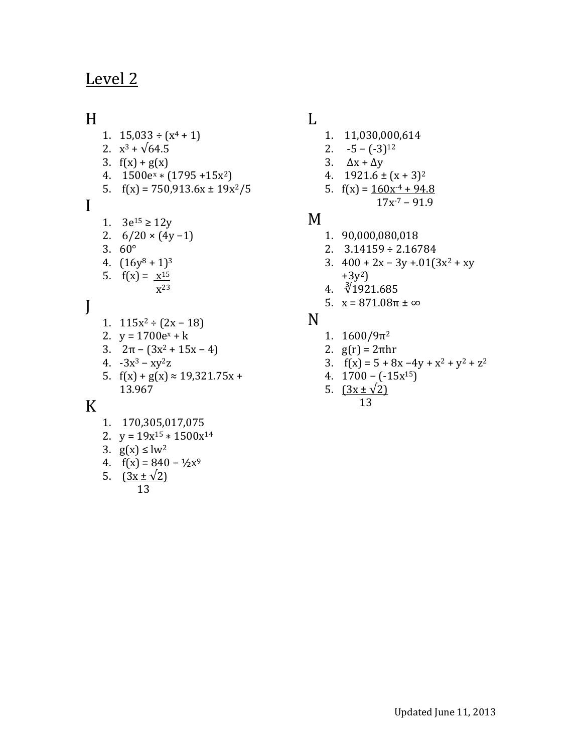# Level 2

### H

I

J

- 1.  $15,033 \div (x^4 + 1)$ 2.  $x^3 + \sqrt{64.5}$ 3.  $f(x) + g(x)$ 4.  $1500e^{x} * (1795 + 15x^{2})$ 5.  $f(x) = 750,913.6x \pm 19x^2/5$ 1.  $3e^{15} \ge 12y$ 2.  $6/20 \times (4y-1)$ 3. 60° 4.  $(16y^8 + 1)^3$ 5.  $f(x) = x^{15}$ x 23 1.  $115x^2 \div (2x - 18)$ 2.  $y = 1700e^{x} + k$
- 3.  $2\pi (3x^2 + 15x 4)$
- 4.  $-3x^3 xy^2z$
- 5.  $f(x) + g(x) \approx 19,321.75x +$ 13.967

### K

- 1. 170,305,017,075
- 2.  $y = 19x^{15} * 1500x^{14}$
- 3.  $g(x) ≤ lw<sup>2</sup>$
- 4.  $f(x) = 840 \frac{1}{2}x^9$
- 5.  $(3x \pm \sqrt{2})$ 13

## L

- 1. 11,030,000,614
- 2.  $-5 (-3)^{12}$
- 3.  $\Delta x + \Delta y$
- 4.  $1921.6 \pm (x + 3)^2$
- 5.  $f(x) = 160x^{-4} + 94.8$  $17x-7 - 91.9$

#### M

- 1. 90,000,080,018
- 2. 3.14159 ÷ 2.16784
- 3.  $400 + 2x 3y + 0.01(3x^2 + xy)$  $+3y^2$
- 4. ∛1921.685
- 5.  $x = 871.08π ± ∞$

#### N

- 1.  $1600/9π²$
- 2.  $g(r) = 2πhr$
- 3.  $f(x) = 5 + 8x 4y + x^2 + y^2 + z^2$
- 4. 1700 − (-15x15)
- 5.  $(3x \pm \sqrt{2})$ 13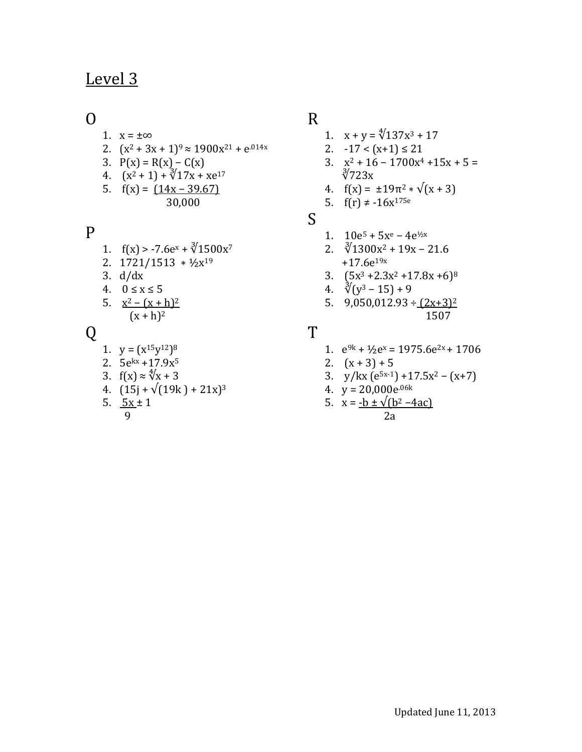## Level 3

#### $\Omega$

- 1.  $x = \pm \infty$
- 2.  $(x^2 + 3x + 1)^9 \approx 1900x^{21} + e^{014x}$
- 3.  $P(x) = R(x) C(x)$
- 4.  $(x^2 + 1) + \sqrt[3]{17x + xe^{17}}$
- 5.  $f(x) = (14x 39.67)$ 30,000

#### P

- 1.  $f(x) > -7.6e^x + \sqrt[3]{1500x^7}$
- 2. 1721/1513 ∗ ½x<sup>19</sup>
- 3. d/dx
- 4.  $0 \le x \le 5$
- 5.  $x^2 (x + h)^2$  $(x + h)^2$

## Q

- 1.  $y = (x^{15}y^{12})^8$
- 2. 5ekx +17.9x<sup>5</sup>
- 3.  $f(x) \approx \sqrt[4]{x} + 3$
- 4.  $(15j + \sqrt{(19k) + 21x})^3$
- 5.  $5x \pm 1$ 9

## R

- 1.  $x + y = \sqrt[4]{137x^3 + 17}$
- 2.  $-17 < (x+1) \le 21$
- 3.  $x^2 + 16 1700x^4 + 15x + 5 =$ ∛723x
- 4.  $f(x) = \pm 19\pi^2 * \sqrt{x+3}$
- 5.  $f(r) \neq -16x^{175e}$

### S

- 1.  $10e^5 + 5x^e 4e^{1/x}$
- 2.  $\sqrt[3]{1300x^2 + 19x 21.6}$  $+17.6e^{19x}$
- 3.  $(5x^3 + 2.3x^2 + 17.8x + 6)^8$
- 4.  $\sqrt[3]{(y^3-15)}+9$
- 5.  $9,050,012.93 \div (2x+3)^2$ 1507

#### T

- 1.  $e^{9k} + \frac{1}{2}e^{x} = 1975.6e^{2x} + 1706$
- 2.  $(x+3)+5$
- 3. y/kx  $(e^{5x-1}) + 17.5x^2 (x+7)$
- 4.  $y = 20,000e^{.06k}$

5. 
$$
x = -b \pm \sqrt{b^2 - 4ac}
$$
  
2a